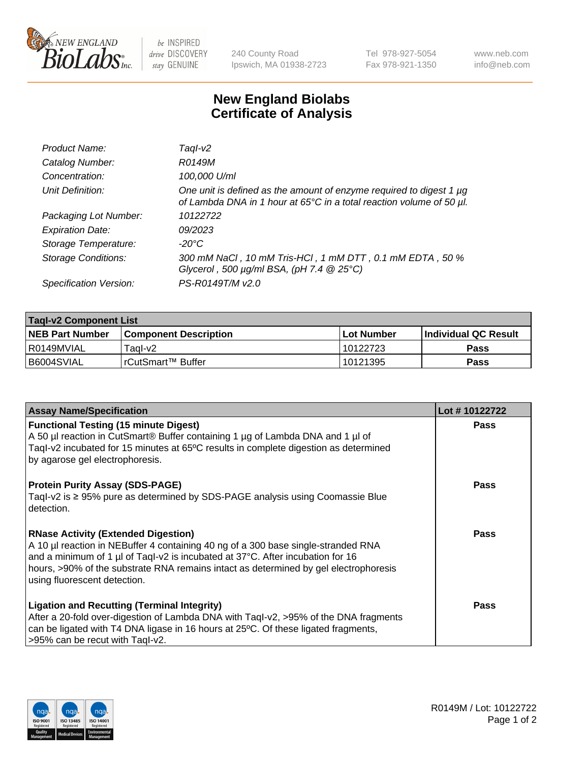

be INSPIRED drive DISCOVERY stay GENUINE

240 County Road Ipswich, MA 01938-2723 Tel 978-927-5054 Fax 978-921-1350 www.neb.com info@neb.com

## **New England Biolabs Certificate of Analysis**

| Product Name:              | Taql-v2                                                                                                                                                    |
|----------------------------|------------------------------------------------------------------------------------------------------------------------------------------------------------|
| Catalog Number:            | R0149M                                                                                                                                                     |
| Concentration:             | 100,000 U/ml                                                                                                                                               |
| Unit Definition:           | One unit is defined as the amount of enzyme required to digest 1 µg<br>of Lambda DNA in 1 hour at 65 $\degree$ C in a total reaction volume of 50 $\mu$ l. |
| Packaging Lot Number:      | 10122722                                                                                                                                                   |
| <b>Expiration Date:</b>    | 09/2023                                                                                                                                                    |
| Storage Temperature:       | $-20^{\circ}$ C                                                                                                                                            |
| <b>Storage Conditions:</b> | 300 mM NaCl, 10 mM Tris-HCl, 1 mM DTT, 0.1 mM EDTA, 50 %<br>Glycerol, 500 $\mu$ g/ml BSA, (pH 7.4 $@$ 25°C)                                                |
| Specification Version:     | PS-R0149T/M v2.0                                                                                                                                           |

| <b>Tagl-v2 Component List</b> |                         |              |                             |  |  |
|-------------------------------|-------------------------|--------------|-----------------------------|--|--|
| <b>NEB Part Number</b>        | l Component Description | l Lot Number | <b>Individual QC Result</b> |  |  |
| I R0149MVIAL                  | Tagl-v2                 | 10122723     | Pass                        |  |  |
| I B6004SVIAL                  | l rCutSmart™ Buffer_    | 10121395     | Pass                        |  |  |

| <b>Assay Name/Specification</b>                                                                                                                                                                                                                                                                                                           | Lot #10122722 |
|-------------------------------------------------------------------------------------------------------------------------------------------------------------------------------------------------------------------------------------------------------------------------------------------------------------------------------------------|---------------|
| <b>Functional Testing (15 minute Digest)</b><br>A 50 µl reaction in CutSmart® Buffer containing 1 µg of Lambda DNA and 1 µl of<br>Tagl-v2 incubated for 15 minutes at 65°C results in complete digestion as determined<br>by agarose gel electrophoresis.                                                                                 | Pass          |
| <b>Protein Purity Assay (SDS-PAGE)</b><br>Tagl-v2 is $\geq$ 95% pure as determined by SDS-PAGE analysis using Coomassie Blue<br>detection.                                                                                                                                                                                                | Pass          |
| <b>RNase Activity (Extended Digestion)</b><br>A 10 µl reaction in NEBuffer 4 containing 40 ng of a 300 base single-stranded RNA<br>and a minimum of 1 µl of Taql-v2 is incubated at 37°C. After incubation for 16<br>hours, >90% of the substrate RNA remains intact as determined by gel electrophoresis<br>using fluorescent detection. | <b>Pass</b>   |
| <b>Ligation and Recutting (Terminal Integrity)</b><br>After a 20-fold over-digestion of Lambda DNA with Taql-v2, >95% of the DNA fragments<br>can be ligated with T4 DNA ligase in 16 hours at 25°C. Of these ligated fragments,<br>>95% can be recut with Taql-v2.                                                                       | Pass          |